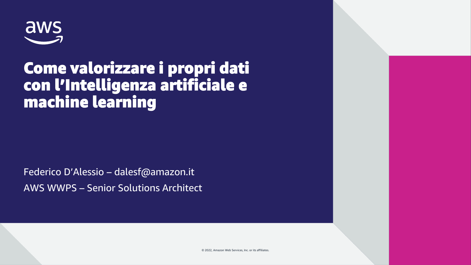

### Come valorizzare i propri dati con l'Intelligenza artificiale e machine learning

Federico D'Alessio – dalesf@amazon.it AWS WWPS – Senior Solutions Architect

© 2022, Amazon Web Services, Inc. or its affiliates.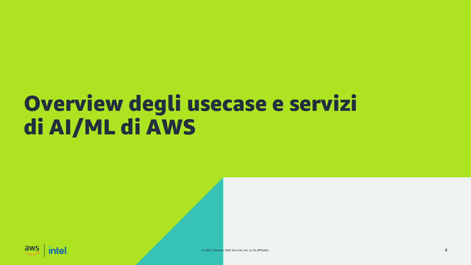# Overview degli usecase e servizi di AI/ML di AWS

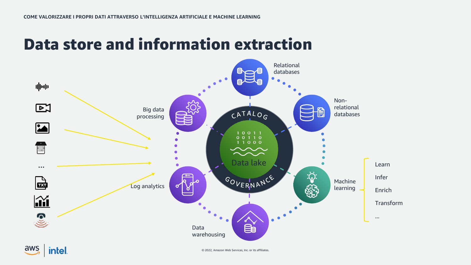### Data store and information extraction



aws intel.

© 2022, Amazon Web Services, Inc. or its affiliates.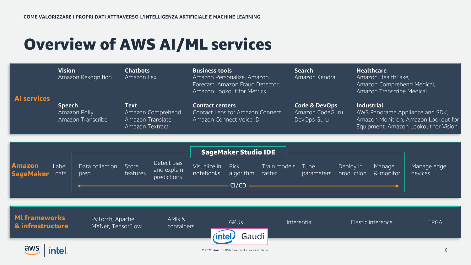## Overview of AWS AI/ML services

| <b>Al services</b>                       | <b>Vision</b><br>Amazon Rekognition                |                                      | <b>Chatbots</b><br>Amazon Lex                                           |                                           | <b>Business tools</b><br>Amazon Personalize, Amazon<br>Forecast, Amazon Fraud Detector,<br>Amazon Lookout for Metrics |                                                                  | <b>Search</b><br>Amazon Kendra                             |                    | <b>Healthcare</b><br>Amazon HealthLake,<br>Amazon Comprehend Medical,<br>Amazon Transcribe Medical                                  |                     |                        |
|------------------------------------------|----------------------------------------------------|--------------------------------------|-------------------------------------------------------------------------|-------------------------------------------|-----------------------------------------------------------------------------------------------------------------------|------------------------------------------------------------------|------------------------------------------------------------|--------------------|-------------------------------------------------------------------------------------------------------------------------------------|---------------------|------------------------|
|                                          | <b>Speech</b><br>Amazon Polly<br>Amazon Transcribe |                                      | <b>Text</b><br>Amazon Comprehend<br>Amazon Translate<br>Amazon Textract |                                           | <b>Contact centers</b><br>Contact Lens for Amazon Connect<br>Amazon Connect Voice ID                                  |                                                                  | <b>Code &amp; DevOps</b><br>Amazon CodeGuru<br>DevOps Guru |                    | <b>Industrial</b><br>AWS Panorama Appliance and SDK,<br>Amazon Monitron, Amazon Lookout for<br>Equipment, Amazon Lookout for Vision |                     |                        |
| <b>Amazon</b><br><b>SageMaker</b>        | Label<br>data                                      | Data collection<br>prep              | Store<br>features                                                       | Detect bias<br>and explain<br>predictions | Visualize in<br>notebooks                                                                                             | <b>SageMaker Studio IDE</b><br><b>Pick</b><br>algorithm<br>CI/CD | Train models<br>faster                                     | Tune<br>parameters | Deploy in<br>production                                                                                                             | Manage<br>& monitor | Manage edge<br>devices |
| <b>MI frameworks</b><br>& infrastructure |                                                    | PyTorch, Apache<br>MXNet, TensorFlow |                                                                         | AMIs &<br>containers                      | <b>Inte</b>                                                                                                           | <b>GPUs</b><br>Gaudi                                             |                                                            | Inferentia         |                                                                                                                                     | Elastic inference   | <b>FPGA</b>            |

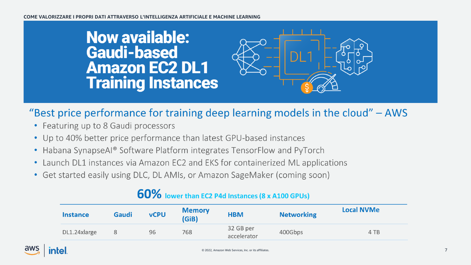### **Now available: Gaudi-based Amazon EC2 DL1 Training Instances**



### "Best price performance for training deep learning models in the cloud" - AWS

- Featuring up to 8 Gaudi processors
- Up to 40% better price performance than latest GPU-based instances
- Habana SynapseAI® Software Platform integrates TensorFlow and PyTorch
- Launch DL1 instances via Amazon EC2 and EKS for containerized ML applications
- Get started easily using DLC, DL AMIs, or Amazon SageMaker (coming soon)

| <b>Instance</b> | Gaudi | <b>vCPU</b> | <b>Memory</b><br>(GiB) | <b>HBM</b>               | <b>Networking</b> | <b>Local NVMe</b> |
|-----------------|-------|-------------|------------------------|--------------------------|-------------------|-------------------|
| DL1.24xlarge    | 8     | 96          | 768                    | 32 GB per<br>accelerator | 400Gbps           | 4 TB              |

### 60% lower than EC2 P4d Instances (8 x A100 GPUs)

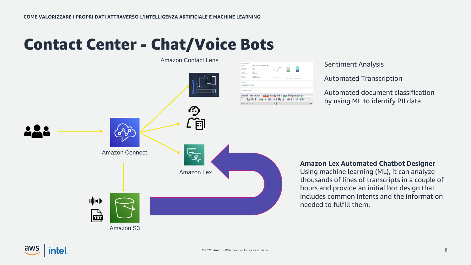### Contact Center - Chat/Voice Bots

Amazon Contact Lens



#### Sentiment Analysis

Automated Transcription

Automated document classification by using ML to identify PII data

**Amazon Lex Automated Chatbot Designer** 

Using machine learning (ML), it can analyze thousands of lines of transcripts in a couple of hours and provide an initial bot design that includes common intents and the information needed to fulfill them.

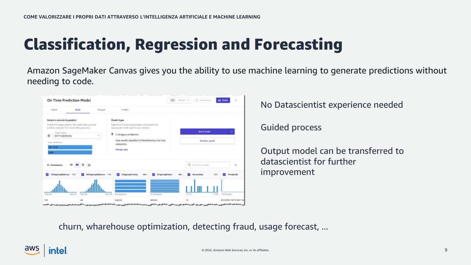## Classification, Regression and Forecasting

Amazon SageMaker Canvas gives you the ability to use machine learning to generate predictions without needing to code.

| <b>On Time Prediction Model</b>                                                                                                                                                   |                     |                       |                                                                                                                                        | V1                         | ● Draft ▼ | Add version          | 2% Share              |                     |
|-----------------------------------------------------------------------------------------------------------------------------------------------------------------------------------|---------------------|-----------------------|----------------------------------------------------------------------------------------------------------------------------------------|----------------------------|-----------|----------------------|-----------------------|---------------------|
| Select                                                                                                                                                                            | <b>Build</b>        | Analyze               | Predict                                                                                                                                |                            |           |                      |                       |                     |
| Select a column to predict<br>Choose the target column. The model that you build<br>predicts values for the column that you select.<br>Target column<br>OnTimeDelivery<br>$\odot$ |                     |                       | Model type<br>SageMaker Canvas automatically recommends the<br>appropriate model type for your analysis.<br>9<br>2 category prediction |                            |           | <b>Quick build</b>   | ٠                     |                     |
| Value distribution                                                                                                                                                                |                     |                       | Your model classifies OnTimeDelivery into two<br>categories.                                                                           |                            |           | <b>Preview model</b> |                       |                     |
| On Time<br>Late                                                                                                                                                                   |                     |                       | <b>Change type</b>                                                                                                                     |                            |           |                      |                       |                     |
| E--Commerce                                                                                                                                                                       | 這                   | 這                     |                                                                                                                                        |                            |           | Q Search columns     |                       | $\hat{\mathcal{X}}$ |
| YShippingDistance 123                                                                                                                                                             | $\sim$              | XShippingDistance 123 | <b>ShippingPriority</b><br>Abc<br>◡                                                                                                    | <b>ShippingOrigin</b><br>◡ | Abc       | ScreenSize<br>◡      | 123<br>ProductId<br>✓ |                     |
| $-476.00$                                                                                                                                                                         | 486.35<br>$-436.00$ | 413.30                | 4 Categories                                                                                                                           | 8 Categories               | 10.10     |                      | 120 Values<br>17.98   |                     |

No Datascientist experience needed

Guided process

Output model can be transferred to datascientist for further improvement

churn, wharehouse optimization, detecting fraud, usage forecast, ...

### ntel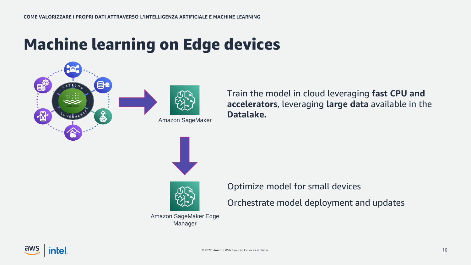### Machine learning on Edge devices





Amazon SageMaker







Optimize model for small devices

Orchestrate model deployment and updates

Amazon SageMaker Edge Manager

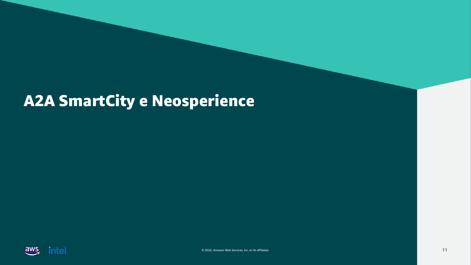## A2A SmartCity e Neosperience

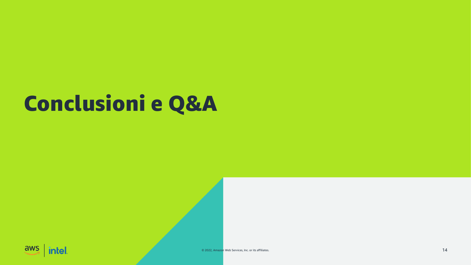# **Conclusioni e Q&A**